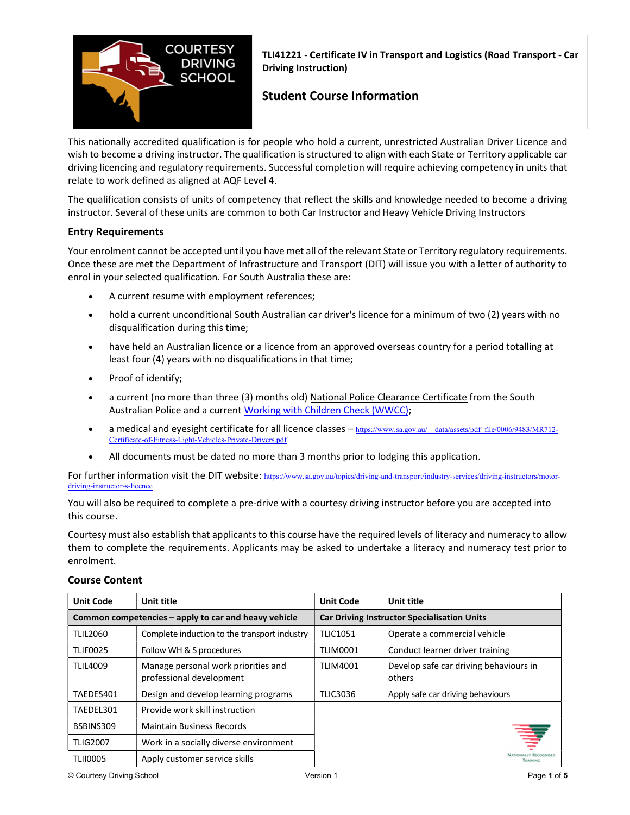

TLI41221 - Certificate IV in Transport and Logistics (Road Transport - Car Driving Instruction)

# Student Course Information

This nationally accredited qualification is for people who hold a current, unrestricted Australian Driver Licence and wish to become a driving instructor. The qualification is structured to align with each State or Territory applicable car driving licencing and regulatory requirements. Successful completion will require achieving competency in units that relate to work defined as aligned at AQF Level 4.

The qualification consists of units of competency that reflect the skills and knowledge needed to become a driving instructor. Several of these units are common to both Car Instructor and Heavy Vehicle Driving Instructors

# Entry Requirements

Your enrolment cannot be accepted until you have met all of the relevant State or Territory regulatory requirements. Once these are met the Department of Infrastructure and Transport (DIT) will issue you with a letter of authority to enrol in your selected qualification. For South Australia these are:

- A current resume with employment references;
- hold a current unconditional South Australian car driver's licence for a minimum of two (2) years with no disqualification during this time;
- have held an Australian licence or a licence from an approved overseas country for a period totalling at least four (4) years with no disqualifications in that time;
- Proof of identify;
- a current (no more than three (3) months old) National Police Clearance Certificate from the South Australian Police and a current Working with Children Check (WWCC);
- a medical and eyesight certificate for all licence classes https://www.sa.gov.au/ data/assets/pdf file/0006/9483/MR712-Certificate-of-Fitness-Light-Vehicles-Private-Drivers.pdf
- All documents must be dated no more than 3 months prior to lodging this application.

For further information visit the DIT website: https://www.sa.gov.au/topics/driving-and-transport/industry-services/driving-instructors/motordriving-instructor-s-licence

You will also be required to complete a pre-drive with a courtesy driving instructor before you are accepted into this course.

Courtesy must also establish that applicants to this course have the required levels of literacy and numeracy to allow them to complete the requirements. Applicants may be asked to undertake a literacy and numeracy test prior to enrolment.

| <b>Unit Code</b>                                     | Unit title                                                      | <b>Unit Code</b>                                   | Unit title                                       |
|------------------------------------------------------|-----------------------------------------------------------------|----------------------------------------------------|--------------------------------------------------|
| Common competencies – apply to car and heavy vehicle |                                                                 | <b>Car Driving Instructor Specialisation Units</b> |                                                  |
| <b>TLIL2060</b>                                      | Complete induction to the transport industry                    | <b>TLIC1051</b>                                    | Operate a commercial vehicle                     |
| <b>TLIF0025</b>                                      | Follow WH & S procedures                                        | <b>TLIM0001</b>                                    | Conduct learner driver training                  |
| <b>TLIL4009</b>                                      | Manage personal work priorities and<br>professional development | <b>TLIM4001</b>                                    | Develop safe car driving behaviours in<br>others |
| TAEDES401                                            | Design and develop learning programs                            | <b>TLIC3036</b>                                    | Apply safe car driving behaviours                |
| TAEDEL301                                            | Provide work skill instruction                                  |                                                    |                                                  |
| BSBINS309                                            | <b>Maintain Business Records</b>                                |                                                    |                                                  |
| <b>TLIG2007</b>                                      | Work in a socially diverse environment                          |                                                    | ₹                                                |
| <b>TLII0005</b>                                      | Apply customer service skills                                   |                                                    | <b>ITIONALLY RECOCNISED</b><br><b>TRAINING</b>   |

# Course Content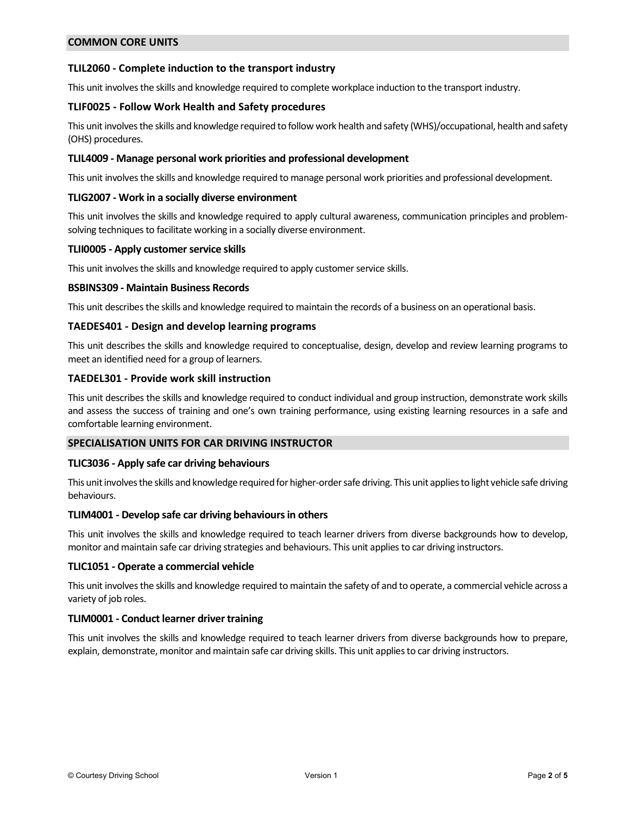# COMMON CORE UNITS

# TLIL2060 - Complete induction to the transport industry

This unit involves the skills and knowledge required to complete workplace induction to the transport industry.

# TLIF0025 - Follow Work Health and Safety procedures

This unit involves the skills and knowledge required to follow work health and safety (WHS)/occupational, health and safety (OHS) procedures.

### TLIL4009 - Manage personal work priorities and professional development

This unit involves the skills and knowledge required to manage personal work priorities and professional development.

### TLIG2007 - Work in a socially diverse environment

This unit involves the skills and knowledge required to apply cultural awareness, communication principles and problemsolving techniques to facilitate working in a socially diverse environment.

### TLII0005 - Apply customer service skills

This unit involves the skills and knowledge required to apply customer service skills.

#### BSBINS309 - Maintain Business Records

This unit describes the skills and knowledge required to maintain the records of a business on an operational basis.

### TAEDES401 - Design and develop learning programs

This unit describes the skills and knowledge required to conceptualise, design, develop and review learning programs to meet an identified need for a group of learners.

### TAEDEL301 - Provide work skill instruction

This unit describes the skills and knowledge required to conduct individual and group instruction, demonstrate work skills and assess the success of training and one's own training performance, using existing learning resources in a safe and comfortable learning environment.

#### SPECIALISATION UNITS FOR CAR DRIVING INSTRUCTOR

#### TLIC3036 - Apply safe car driving behaviours

This unit involves the skills and knowledge required for higher-order safe driving. This unit applies to light vehicle safe driving behaviours.

#### TLIM4001 - Develop safe car driving behaviours in others

This unit involves the skills and knowledge required to teach learner drivers from diverse backgrounds how to develop, monitor and maintain safe car driving strategies and behaviours. This unit applies to car driving instructors.

#### TLIC1051 - Operate a commercial vehicle

This unit involves the skills and knowledge required to maintain the safety of and to operate, a commercial vehicle across a variety of job roles.

# TLIM0001 - Conduct learner driver training

This unit involves the skills and knowledge required to teach learner drivers from diverse backgrounds how to prepare, explain, demonstrate, monitor and maintain safe car driving skills. This unit applies to car driving instructors.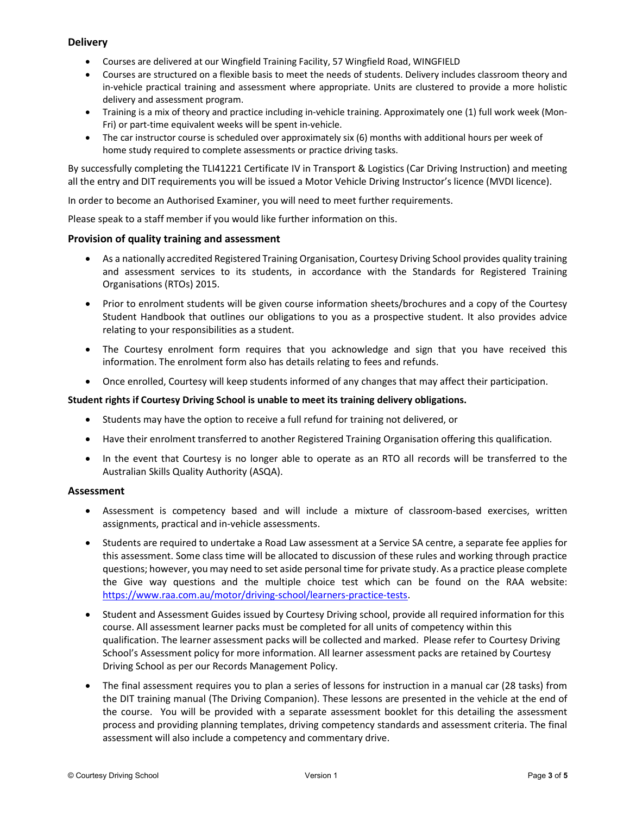# **Delivery**

- Courses are delivered at our Wingfield Training Facility, 57 Wingfield Road, WINGFIELD
- Courses are structured on a flexible basis to meet the needs of students. Delivery includes classroom theory and in-vehicle practical training and assessment where appropriate. Units are clustered to provide a more holistic delivery and assessment program.
- Training is a mix of theory and practice including in-vehicle training. Approximately one (1) full work week (Mon-Fri) or part-time equivalent weeks will be spent in-vehicle.
- The car instructor course is scheduled over approximately six (6) months with additional hours per week of home study required to complete assessments or practice driving tasks.

By successfully completing the TLI41221 Certificate IV in Transport & Logistics (Car Driving Instruction) and meeting all the entry and DIT requirements you will be issued a Motor Vehicle Driving Instructor's licence (MVDI licence).

In order to become an Authorised Examiner, you will need to meet further requirements.

Please speak to a staff member if you would like further information on this.

# Provision of quality training and assessment

- As a nationally accredited Registered Training Organisation, Courtesy Driving School provides quality training and assessment services to its students, in accordance with the Standards for Registered Training Organisations (RTOs) 2015.
- Prior to enrolment students will be given course information sheets/brochures and a copy of the Courtesy Student Handbook that outlines our obligations to you as a prospective student. It also provides advice relating to your responsibilities as a student.
- The Courtesy enrolment form requires that you acknowledge and sign that you have received this information. The enrolment form also has details relating to fees and refunds.
- Once enrolled, Courtesy will keep students informed of any changes that may affect their participation.

### Student rights if Courtesy Driving School is unable to meet its training delivery obligations.

- Students may have the option to receive a full refund for training not delivered, or
- Have their enrolment transferred to another Registered Training Organisation offering this qualification.
- In the event that Courtesy is no longer able to operate as an RTO all records will be transferred to the Australian Skills Quality Authority (ASQA).

#### Assessment

- Assessment is competency based and will include a mixture of classroom-based exercises, written assignments, practical and in-vehicle assessments.
- Students are required to undertake a Road Law assessment at a Service SA centre, a separate fee applies for this assessment. Some class time will be allocated to discussion of these rules and working through practice questions; however, you may need to set aside personal time for private study. As a practice please complete the Give way questions and the multiple choice test which can be found on the RAA website: https://www.raa.com.au/motor/driving-school/learners-practice-tests.
- Student and Assessment Guides issued by Courtesy Driving school, provide all required information for this course. All assessment learner packs must be completed for all units of competency within this qualification. The learner assessment packs will be collected and marked. Please refer to Courtesy Driving School's Assessment policy for more information. All learner assessment packs are retained by Courtesy Driving School as per our Records Management Policy.
- The final assessment requires you to plan a series of lessons for instruction in a manual car (28 tasks) from the DIT training manual (The Driving Companion). These lessons are presented in the vehicle at the end of the course. You will be provided with a separate assessment booklet for this detailing the assessment process and providing planning templates, driving competency standards and assessment criteria. The final assessment will also include a competency and commentary drive.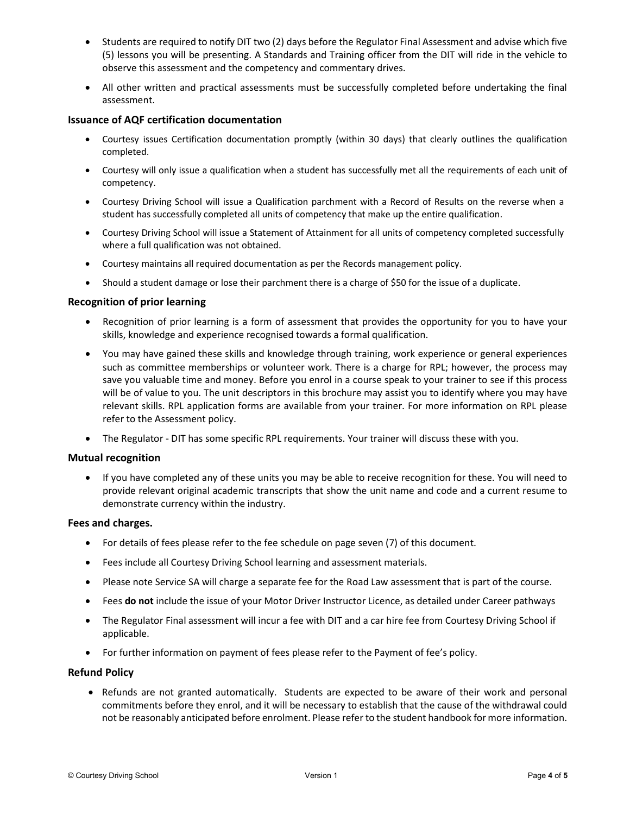- Students are required to notify DIT two (2) days before the Regulator Final Assessment and advise which five (5) lessons you will be presenting. A Standards and Training officer from the DIT will ride in the vehicle to observe this assessment and the competency and commentary drives.
- All other written and practical assessments must be successfully completed before undertaking the final assessment.

# Issuance of AQF certification documentation

- Courtesy issues Certification documentation promptly (within 30 days) that clearly outlines the qualification completed.
- Courtesy will only issue a qualification when a student has successfully met all the requirements of each unit of competency.
- Courtesy Driving School will issue a Qualification parchment with a Record of Results on the reverse when a student has successfully completed all units of competency that make up the entire qualification.
- Courtesy Driving School will issue a Statement of Attainment for all units of competency completed successfully where a full qualification was not obtained.
- Courtesy maintains all required documentation as per the Records management policy.
- Should a student damage or lose their parchment there is a charge of \$50 for the issue of a duplicate.

### Recognition of prior learning

- Recognition of prior learning is a form of assessment that provides the opportunity for you to have your skills, knowledge and experience recognised towards a formal qualification.
- You may have gained these skills and knowledge through training, work experience or general experiences such as committee memberships or volunteer work. There is a charge for RPL; however, the process may save you valuable time and money. Before you enrol in a course speak to your trainer to see if this process will be of value to you. The unit descriptors in this brochure may assist you to identify where you may have relevant skills. RPL application forms are available from your trainer. For more information on RPL please refer to the Assessment policy.
- The Regulator DIT has some specific RPL requirements. Your trainer will discuss these with you.

#### Mutual recognition

 If you have completed any of these units you may be able to receive recognition for these. You will need to provide relevant original academic transcripts that show the unit name and code and a current resume to demonstrate currency within the industry.

#### Fees and charges.

- For details of fees please refer to the fee schedule on page seven (7) of this document.
- Fees include all Courtesy Driving School learning and assessment materials.
- Please note Service SA will charge a separate fee for the Road Law assessment that is part of the course.
- Fees do not include the issue of your Motor Driver Instructor Licence, as detailed under Career pathways
- The Regulator Final assessment will incur a fee with DIT and a car hire fee from Courtesy Driving School if applicable.
- For further information on payment of fees please refer to the Payment of fee's policy.

#### Refund Policy

• Refunds are not granted automatically. Students are expected to be aware of their work and personal commitments before they enrol, and it will be necessary to establish that the cause of the withdrawal could not be reasonably anticipated before enrolment. Please refer to the student handbook for more information.